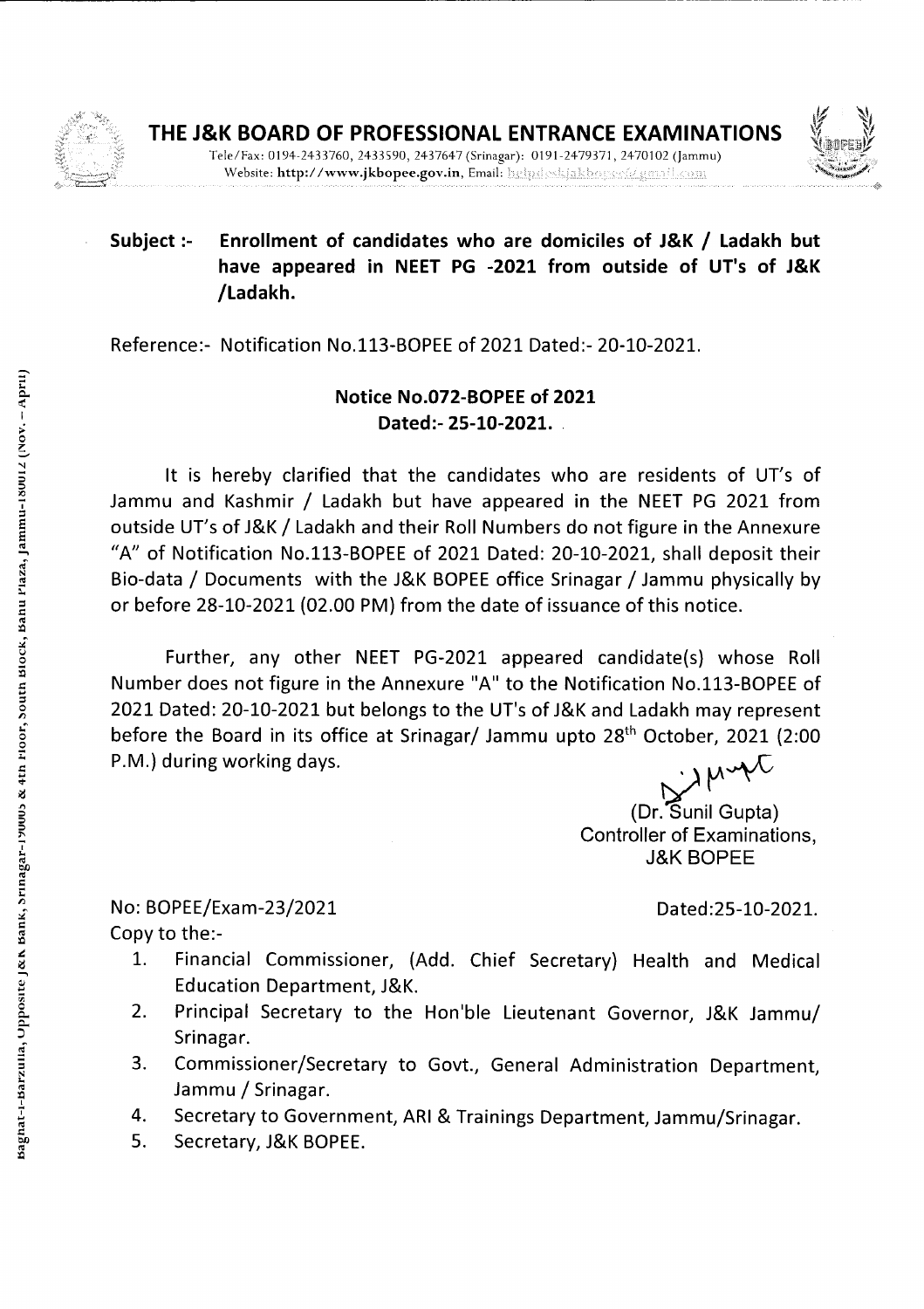



## **Subject** :- **Enrollment of candidates who are domiciles of J&K** */* **Ladakh but have appeared in NEET PG -2021 from outside of UT's of J&K /Ladakh.**

Reference:- Notification No.113-BOPEE of 2021 Dated:- 20-10-202 1.

## **Notice No.072-BOPEE of 2021 Dated:- 25-10-2021.**

It is hereby clarified that the candidates who are residents of UT's of Jammu and Kashmir */* Ladakh but have appeared in the NEET PG 2021 from outside UT's of J&K */* Ladakh and their Roll Numbers do not figure in the Annexure "A" of Notification No.113-BOPEE of 2021 Dated: 20-10-2021, shall deposit their Bio-data */* Documents with the J&K BOPEE office Srinagar *I* Jammu physically by or before 28-10-2021 (02.00 PM) from the date of issuance of this notice.

Further, any other NEET PG-2021 appeared candidate(s) whose Roll Number does not figure in the Annexure "A" to the Notification No.113-BOPEE of 2021 Dated: 20-10-2021 but belongs to the UT's of J&K and Ladakh may represent before the Board in its office at Srinagar/ Jammu upto 28<sup>th</sup> October, 2021 (2:00 JAuge P.M.) during working days.

(Dr.Sunil Gupta) Controller of Examinations, J&K BOPEE

No: BOPEE/Exam-23/2021 Dated:25-10-2021. Copy to the:-

- 1. Financial Commissioner, (Add. Chief Secretary) Health and Medical Education Department, J&K.
- 2. Principal Secretary to the Hon'ble Lieutenant Governor, J&K Jammu/ Srinagar.
- 3. Commissioner/Secretary to Govt., General Administration Department, Jammu */* Srinagar.
- 4. Secretary to Government, ARI & Trainings Department, Jammu/Srinagar.
- 5. Secretary, J&K BOPEE.